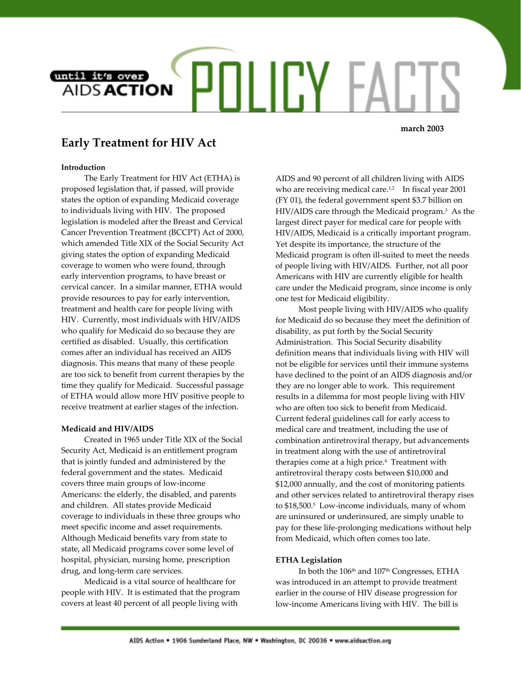

**march 2003**

# **Early Treatment for HIV Act**

## **Introduction**

The Early Treatment for HIV Act (ETHA) is proposed legislation that, if passed, will provide states the option of expanding Medicaid coverage to individuals living with HIV. The proposed legislation is modeled after the Breast and Cervical Cancer Prevention Treatment (BCCPT) Act of 2000, which amended Title XIX of the Social Security Act giving states the option of expanding Medicaid coverage to women who were found, through early intervention programs, to have breast or cervical cancer. In a similar manner, ETHA would provide resources to pay for early intervention, treatment and health care for people living with HIV. Currently, most individuals with HIV/AIDS who qualify for Medicaid do so because they are certified as disabled. Usually, this certification comes after an individual has received an AIDS diagnosis. This means that many of these people are too sick to benefit from current therapies by the time they qualify for Medicaid. Successful passage of ETHA would allow more HIV positive people to receive treatment at earlier stages of the infection.

### **Medicaid and HIV/AIDS**

Created in 1965 under Title XIX of the Social Security Act, Medicaid is an entitlement program that is jointly funded and administered by the federal government and the states. Medicaid covers three main groups of low-income Americans: the elderly, the disabled, and parents and children. All states provide Medicaid coverage to individuals in these three groups who meet specific income and asset requirements. Although Medicaid benefits vary from state to state, all Medicaid programs cover some level of hospital, physician, nursing home, prescription drug, and long-term care services.

Medicaid is a vital source of healthcare for people with HIV. It is estimated that the program covers at least 40 percent of all people living with

AIDS and 90 percent of all children living with AIDS who are receiving medical care.<sup>[1,](#page-1-0)2</sup> In fiscal year 2001 (FY 01), the federal government spent \$3.7 billion on HIV/AIDS care through the Medicaid [p](#page-1-2)rogram.3 As the largest direct payer for medical care for people with HIV/AIDS, Medicaid is a critically important program. Yet despite its importance, the structure of the Medicaid program is often ill-suited to meet the needs of people living with HIV/AIDS. Further, not all poor Americans with HIV are currently eligible for health care under the Medicaid program, since income is only one test for Medicaid eligibility.

Most people living with HIV/AIDS who qualify for Medicaid do so because they meet the definition of disability, as put forth by the Social Security Administration. This Social Security disability definition means that individuals living with HIV will not be eligible for services until their immune systems have declined to the point of an AIDS diagnosis and/or they are no longer able to work. This requirement results in a dilemma for most people living with HIV who are often too sick to benefit from Medicaid. Current federal guidelines call for early access to medical care and treatment, including the use of combination antiretroviral therapy, but advancements in treatment along with the use of antiretroviral therapies come at a high price.<sup>4</sup> Treatment with antiretroviral therapy costs between \$10,000 and \$12,000 annually, and the cost of monitoring patients and other services related to antiretroviral therapy rises to \$18,500.[5](#page-1-4) Low-income individuals, many of whom are uninsured or underinsured, are simply unable to pay for these life-prolonging medications without help from Medicaid, which often comes too late.

### **ETHA Legislation**

In both the 106<sup>th</sup> and 107<sup>th</sup> Congresses, ETHA was introduced in an attempt to provide treatment earlier in the course of HIV disease progression for low-income Americans living with HIV. The bill is